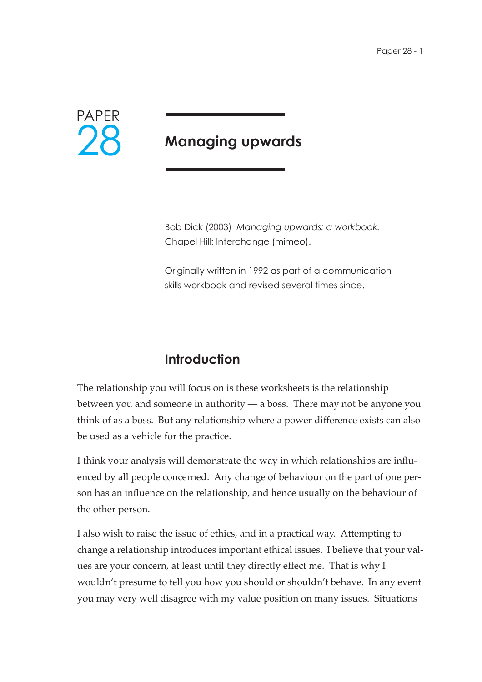

# **Managing upwards**

Bob Dick (2003) *Managing upwards: a workbook.*  Chapel Hill: Interchange (mimeo).

Originally written in 1992 as part of a communication skills workbook and revised several times since.

## **Introduction**

The relationship you will focus on is these worksheets is the relationship between you and someone in authority — a boss. There may not be anyone you think of as a boss. But any relationship where a power difference exists can also be used as a vehicle for the practice.

I think your analysis will demonstrate the way in which relationships are influenced by all people concerned. Any change of behaviour on the part of one person has an influence on the relationship, and hence usually on the behaviour of the other person.

I also wish to raise the issue of ethics, and in a practical way. Attempting to change a relationship introduces important ethical issues. I believe that your values are your concern, at least until they directly effect me. That is why I wouldn't presume to tell you how you should or shouldn't behave. In any event you may very well disagree with my value position on many issues. Situations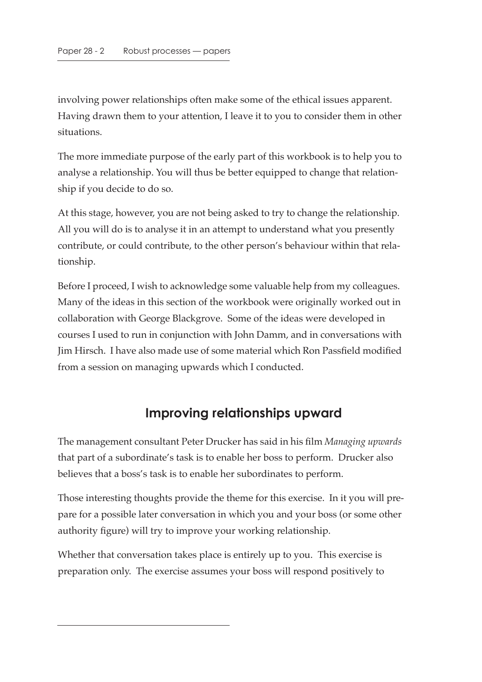involving power relationships often make some of the ethical issues apparent. Having drawn them to your attention, I leave it to you to consider them in other situations.

The more immediate purpose of the early part of this workbook is to help you to analyse a relationship. You will thus be better equipped to change that relationship if you decide to do so.

At this stage, however, you are not being asked to try to change the relationship. All you will do is to analyse it in an attempt to understand what you presently contribute, or could contribute, to the other person's behaviour within that relationship.

Before I proceed, I wish to acknowledge some valuable help from my colleagues. Many of the ideas in this section of the workbook were originally worked out in collaboration with George Blackgrove. Some of the ideas were developed in courses I used to run in conjunction with John Damm, and in conversations with Jim Hirsch. I have also made use of some material which Ron Passfield modified from a session on managing upwards which I conducted.

#### **Improving relationships upward**

The management consultant Peter Drucker has said in his film *Managing upwards* that part of a subordinate's task is to enable her boss to perform. Drucker also believes that a boss's task is to enable her subordinates to perform.

Those interesting thoughts provide the theme for this exercise. In it you will prepare for a possible later conversation in which you and your boss (or some other authority figure) will try to improve your working relationship.

Whether that conversation takes place is entirely up to you. This exercise is preparation only. The exercise assumes your boss will respond positively to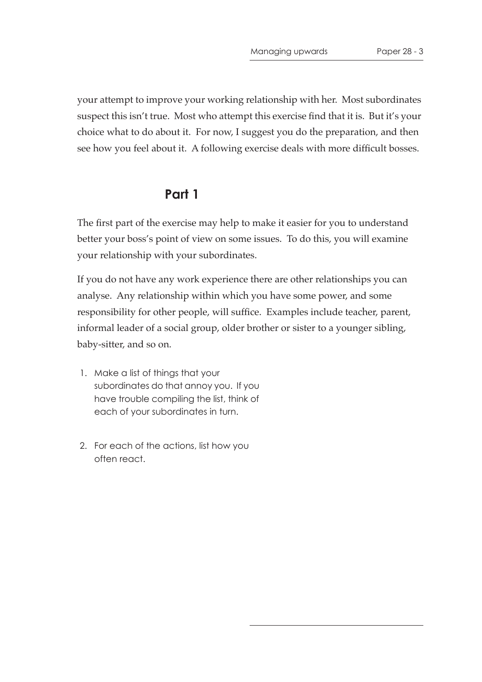your attempt to improve your working relationship with her. Most subordinates suspect this isn't true. Most who attempt this exercise find that it is. But it's your choice what to do about it. For now, I suggest you do the preparation, and then see how you feel about it. A following exercise deals with more difficult bosses.

#### **Part 1**

The first part of the exercise may help to make it easier for you to understand better your boss's point of view on some issues. To do this, you will examine your relationship with your subordinates.

If you do not have any work experience there are other relationships you can analyse. Any relationship within which you have some power, and some responsibility for other people, will suffice. Examples include teacher, parent, informal leader of a social group, older brother or sister to a younger sibling, baby-sitter, and so on.

- 1. Make a list of things that your subordinates do that annoy you. If you have trouble compiling the list, think of each of your subordinates in turn.
- 2. For each of the actions, list how you often react.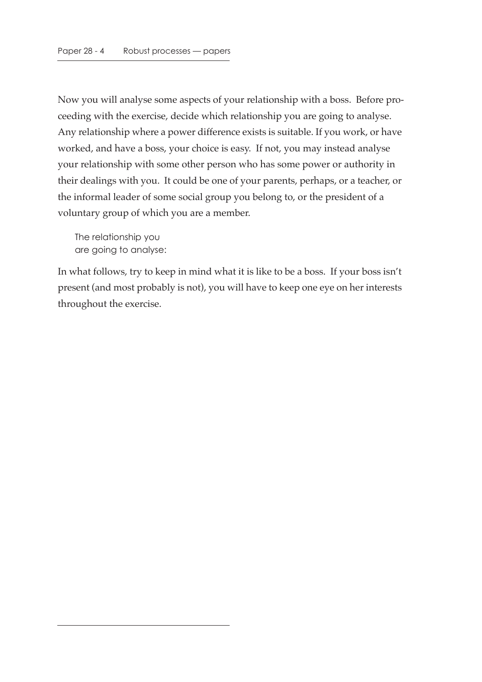Now you will analyse some aspects of your relationship with a boss. Before proceeding with the exercise, decide which relationship you are going to analyse. Any relationship where a power difference exists is suitable. If you work, or have worked, and have a boss, your choice is easy. If not, you may instead analyse your relationship with some other person who has some power or authority in their dealings with you. It could be one of your parents, perhaps, or a teacher, or the informal leader of some social group you belong to, or the president of a voluntary group of which you are a member.

The relationship you are going to analyse:

In what follows, try to keep in mind what it is like to be a boss. If your boss isn't present (and most probably is not), you will have to keep one eye on her interests throughout the exercise.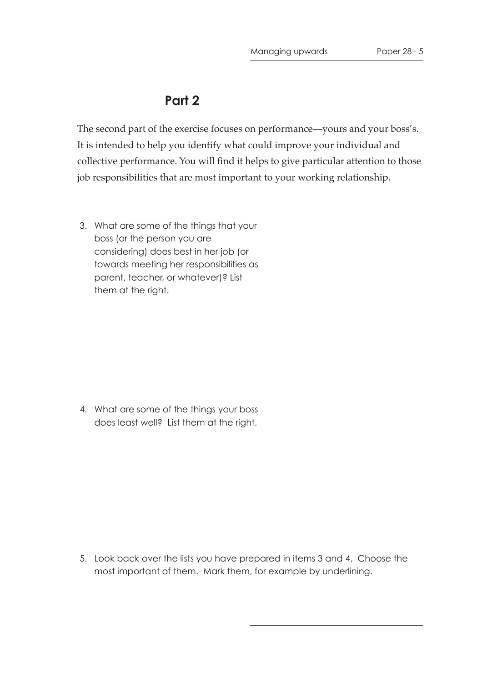#### **Part 2**

The second part of the exercise focuses on performance—yours and your boss's. It is intended to help you identify what could improve your individual and collective performance. You will find it helps to give particular attention to those job responsibilities that are most important to your working relationship.

 3. What are some of the things that your boss (or the person you are considering) does best in her job (or towards meeting her responsibilities as parent, teacher, or whatever)? List them at the right.

 4. What are some of the things your boss does least well? List them at the right.

 5. Look back over the lists you have prepared in items 3 and 4. Choose the most important of them. Mark them, for example by underlining.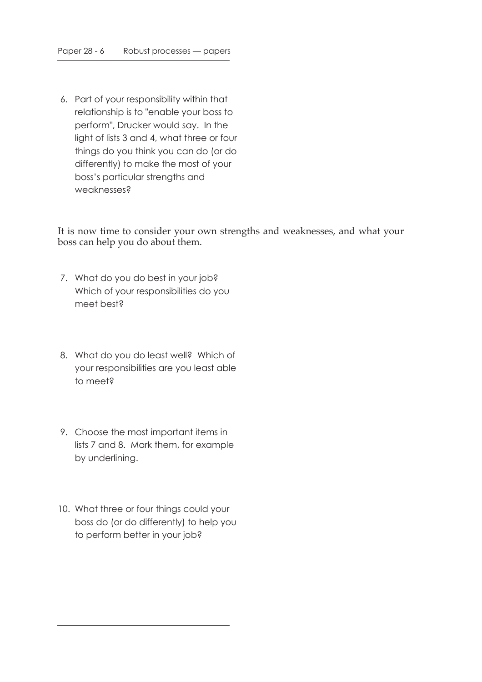6. Part of your responsibility within that relationship is to "enable your boss to perform", Drucker would say. In the light of lists 3 and 4, what three or four things do you think you can do (or do differently) to make the most of your boss's particular strengths and weaknesses?

It is now time to consider your own strengths and weaknesses, and what your boss can help you do about them.

- 7. What do you do best in your job? Which of your responsibilities do you meet best?
- 8. What do you do least well? Which of your responsibilities are you least able to meet?
- 9. Choose the most important items in lists 7 and 8. Mark them, for example by underlining.
- 10. What three or four things could your boss do (or do differently) to help you to perform better in your job?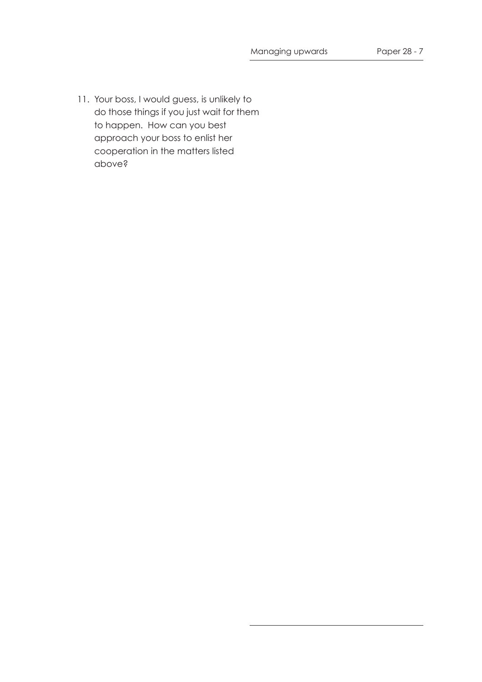11. Your boss, I would guess, is unlikely to do those things if you just wait for them to happen. How can you best approach your boss to enlist her cooperation in the matters listed above?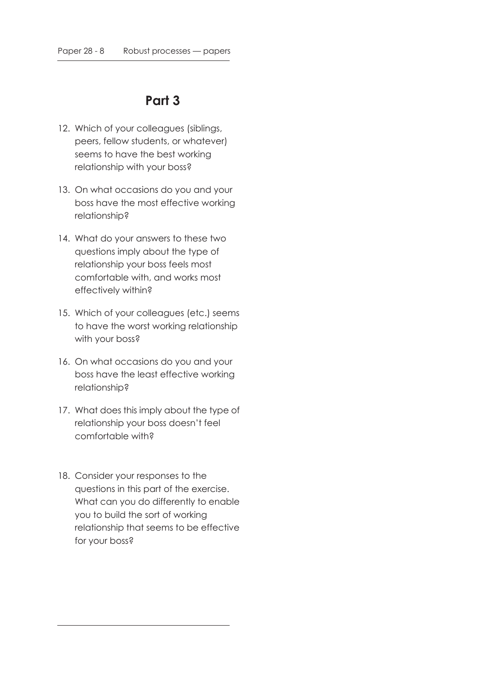#### **Part 3**

- 12. Which of your colleagues (siblings, peers, fellow students, or whatever) seems to have the best working relationship with your boss?
- 13. On what occasions do you and your boss have the most effective working relationship?
- 14. What do your answers to these two questions imply about the type of relationship your boss feels most comfortable with, and works most effectively within?
- 15. Which of your colleagues (etc.) seems to have the worst working relationship with your boss?
- 16. On what occasions do you and your boss have the least effective working relationship?
- 17. What does this imply about the type of relationship your boss doesn't feel comfortable with?
- 18. Consider your responses to the questions in this part of the exercise. What can you do differently to enable you to build the sort of working relationship that seems to be effective for your boss?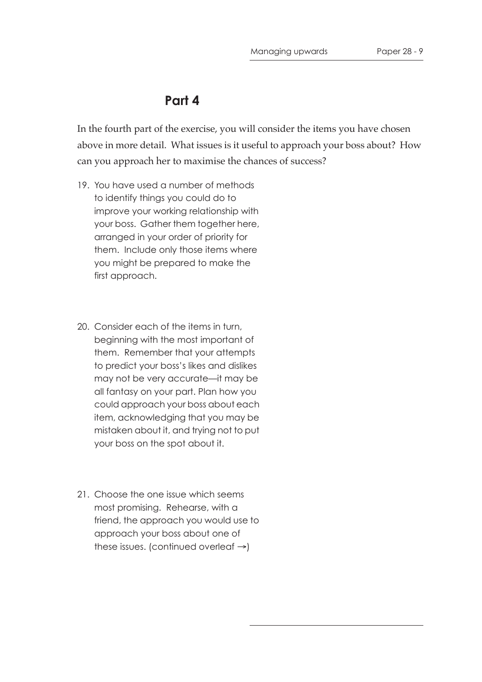#### **Part 4**

In the fourth part of the exercise, you will consider the items you have chosen above in more detail. What issues is it useful to approach your boss about? How can you approach her to maximise the chances of success?

- 19. You have used a number of methods to identify things you could do to improve your working relationship with your boss. Gather them together here, arranged in your order of priority for them. Include only those items where you might be prepared to make the first approach.
- 20. Consider each of the items in turn, beginning with the most important of them. Remember that your attempts to predict your boss's likes and dislikes may not be very accurate—it may be all fantasy on your part. Plan how you could approach your boss about each item, acknowledging that you may be mistaken about it, and trying not to put your boss on the spot about it.
- 21. Choose the one issue which seems most promising. Rehearse, with a friend, the approach you would use to approach your boss about one of these issues. (continued overleaf →)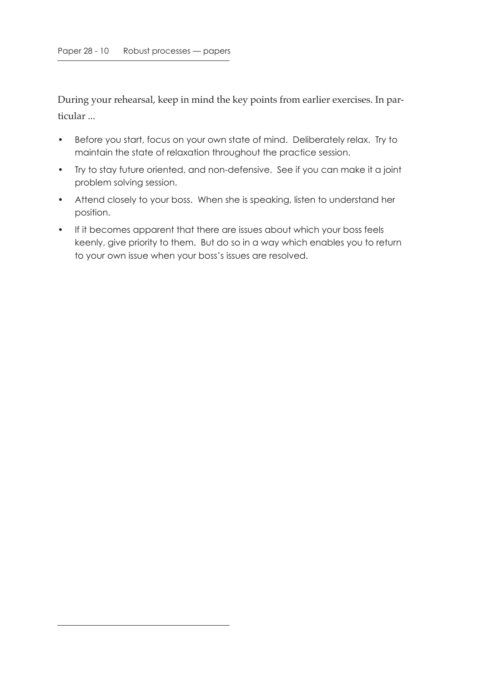During your rehearsal, keep in mind the key points from earlier exercises. In particular ...

- Before you start, focus on your own state of mind. Deliberately relax. Try to maintain the state of relaxation throughout the practice session.
- Try to stay future oriented, and non-defensive. See if you can make it a joint problem solving session.
- Attend closely to your boss. When she is speaking, listen to understand her position.
- If it becomes apparent that there are issues about which your boss feels keenly, give priority to them. But do so in a way which enables you to return to your own issue when your boss's issues are resolved.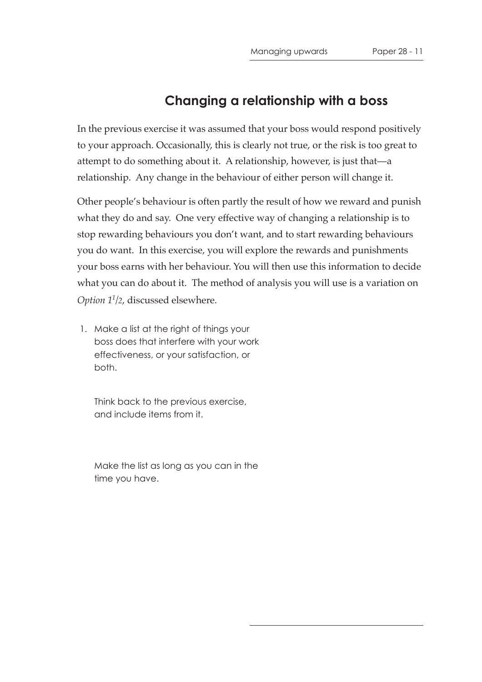#### **Changing a relationship with a boss**

In the previous exercise it was assumed that your boss would respond positively to your approach. Occasionally, this is clearly not true, or the risk is too great to attempt to do something about it. A relationship, however, is just that—a relationship. Any change in the behaviour of either person will change it.

Other people's behaviour is often partly the result of how we reward and punish what they do and say. One very effective way of changing a relationship is to stop rewarding behaviours you don't want, and to start rewarding behaviours you do want. In this exercise, you will explore the rewards and punishments your boss earns with her behaviour. You will then use this information to decide what you can do about it. The method of analysis you will use is a variation on *Option 11/2*, discussed elsewhere.

 1. Make a list at the right of things your boss does that interfere with your work effectiveness, or your satisfaction, or both.

Think back to the previous exercise, and include items from it.

Make the list as long as you can in the time you have.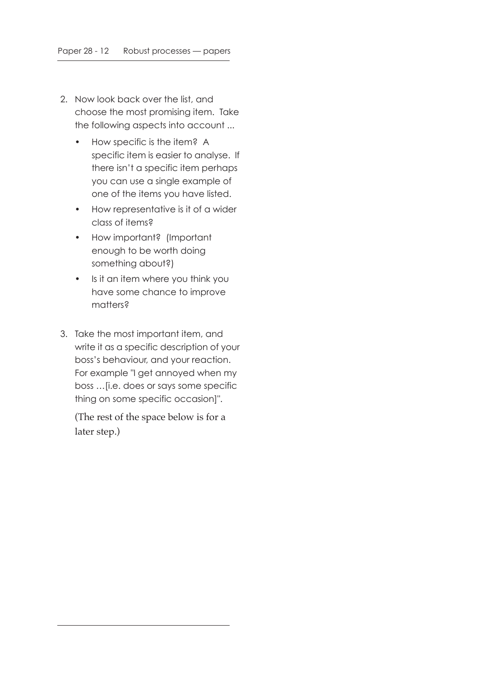- 2. Now look back over the list, and choose the most promising item. Take the following aspects into account ...
	- How specific is the item? A specific item is easier to analyse. If there isn't a specific item perhaps you can use a single example of one of the items you have listed.
	- How representative is it of a wider class of items?
	- How important? (Important enough to be worth doing something about?)
	- Is it an item where you think you have some chance to improve matters?
- 3. Take the most important item, and write it as a specific description of your boss's behaviour, and your reaction. For example "I get annoyed when my boss …[i.e. does or says some specific thing on some specific occasion]".

(The rest of the space below is for a later step.)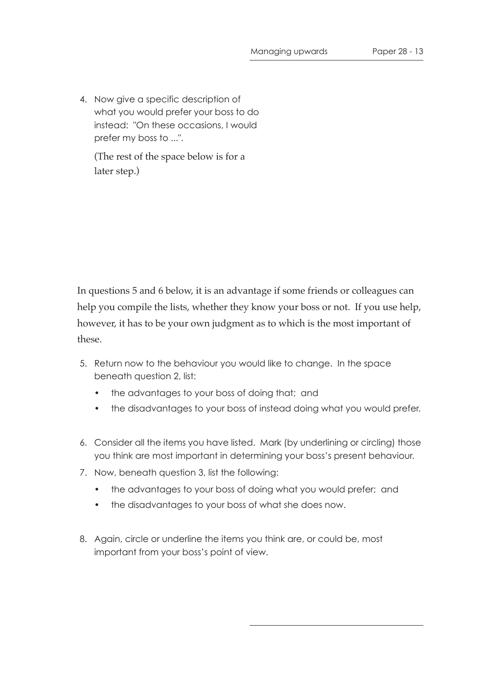4. Now give a specific description of what you would prefer your boss to do instead: "On these occasions, I would prefer my boss to ...".

(The rest of the space below is for a later step.)

In questions 5 and 6 below, it is an advantage if some friends or colleagues can help you compile the lists, whether they know your boss or not. If you use help, however, it has to be your own judgment as to which is the most important of these.

- 5. Return now to the behaviour you would like to change. In the space beneath question 2, list:
	- the advantages to your boss of doing that; and
	- the disadvantages to your boss of instead doing what you would prefer.
- 6. Consider all the items you have listed. Mark (by underlining or circling) those you think are most important in determining your boss's present behaviour.
- 7. Now, beneath question 3, list the following:
	- the advantages to your boss of doing what you would prefer; and
	- the disadvantages to your boss of what she does now.
- 8. Again, circle or underline the items you think are, or could be, most important from your boss's point of view.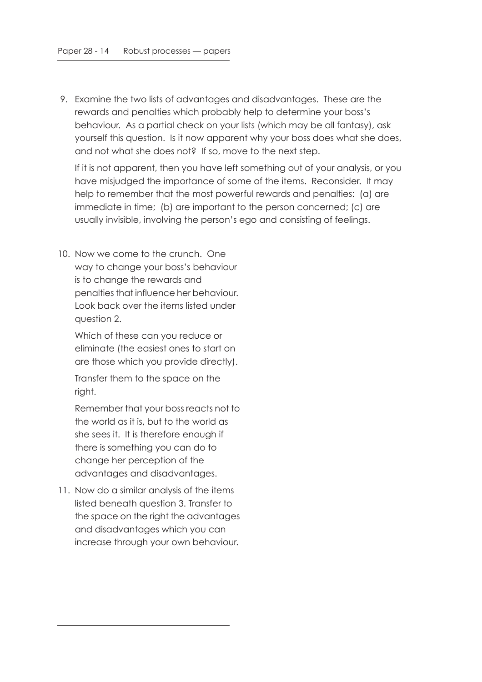9. Examine the two lists of advantages and disadvantages. These are the rewards and penalties which probably help to determine your boss's behaviour. As a partial check on your lists (which may be all fantasy), ask yourself this question. Is it now apparent why your boss does what she does, and not what she does not? If so, move to the next step.

If it is not apparent, then you have left something out of your analysis, or you have misjudged the importance of some of the items. Reconsider. It may help to remember that the most powerful rewards and penalties: (a) are immediate in time; (b) are important to the person concerned; (c) are usually invisible, involving the person's ego and consisting of feelings.

10. Now we come to the crunch. One way to change your boss's behaviour is to change the rewards and penalties that influence her behaviour. Look back over the items listed under question 2.

Which of these can you reduce or eliminate (the easiest ones to start on are those which you provide directly).

Transfer them to the space on the right.

Remember that your boss reacts not to the world as it is, but to the world as she sees it. It is therefore enough if there is something you can do to change her perception of the advantages and disadvantages.

11. Now do a similar analysis of the items listed beneath question 3. Transfer to the space on the right the advantages and disadvantages which you can increase through your own behaviour.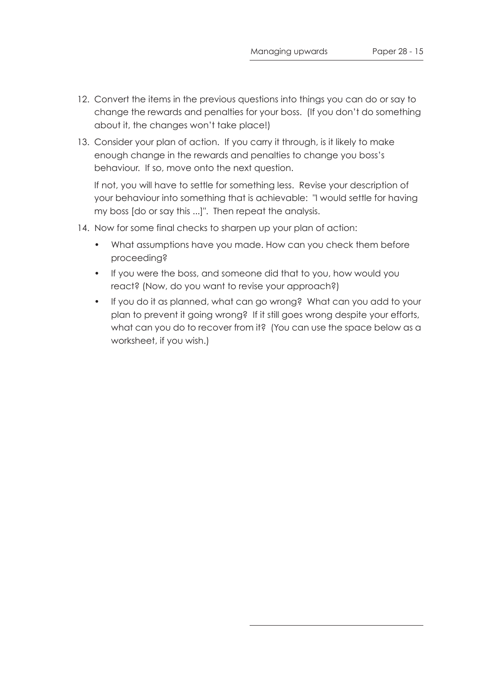- 12. Convert the items in the previous questions into things you can do or say to change the rewards and penalties for your boss. (If you don't do something about it, the changes won't take place!)
- 13. Consider your plan of action. If you carry it through, is it likely to make enough change in the rewards and penalties to change you boss's behaviour. If so, move onto the next question.

If not, you will have to settle for something less. Revise your description of your behaviour into something that is achievable: "I would settle for having my boss [do or say this ...]". Then repeat the analysis.

- 14. Now for some final checks to sharpen up your plan of action:
	- What assumptions have you made. How can you check them before proceeding?
	- If you were the boss, and someone did that to you, how would you react? (Now, do you want to revise your approach?)
	- If you do it as planned, what can go wrong? What can you add to your plan to prevent it going wrong? If it still goes wrong despite your efforts, what can you do to recover from it? (You can use the space below as a worksheet, if you wish.)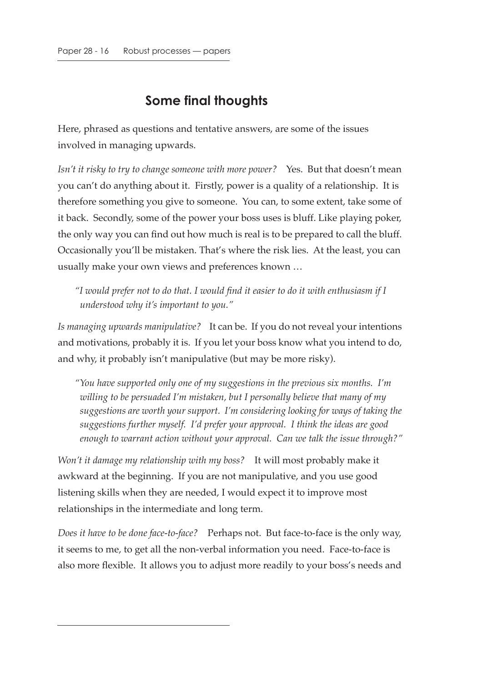### **Some final thoughts**

Here, phrased as questions and tentative answers, are some of the issues involved in managing upwards.

*Isn't it risky to try to change someone with more power?* Yes. But that doesn't mean you can't do anything about it. Firstly, power is a quality of a relationship. It is therefore something you give to someone. You can, to some extent, take some of it back. Secondly, some of the power your boss uses is bluff. Like playing poker, the only way you can find out how much is real is to be prepared to call the bluff. Occasionally you'll be mistaken. That's where the risk lies. At the least, you can usually make your own views and preferences known …

*"I would prefer not to do that. I would find it easier to do it with enthusiasm if I understood why it's important to you."*

*Is managing upwards manipulative?* It can be. If you do not reveal your intentions and motivations, probably it is. If you let your boss know what you intend to do, and why, it probably isn't manipulative (but may be more risky).

*"You have supported only one of my suggestions in the previous six months. I'm willing to be persuaded I'm mistaken, but I personally believe that many of my suggestions are worth your support. I'm considering looking for ways of taking the suggestions further myself. I'd prefer your approval. I think the ideas are good enough to warrant action without your approval. Can we talk the issue through?"*

*Won't it damage my relationship with my boss?* It will most probably make it awkward at the beginning. If you are not manipulative, and you use good listening skills when they are needed, I would expect it to improve most relationships in the intermediate and long term.

*Does it have to be done face-to-face?* Perhaps not. But face-to-face is the only way, it seems to me, to get all the non-verbal information you need. Face-to-face is also more flexible. It allows you to adjust more readily to your boss's needs and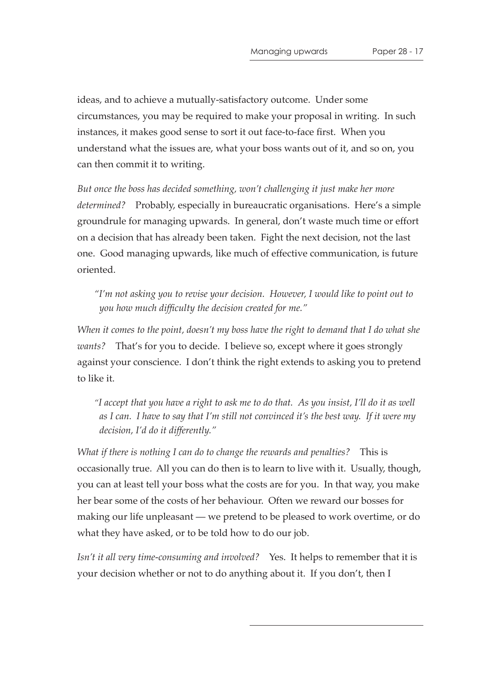ideas, and to achieve a mutually-satisfactory outcome. Under some circumstances, you may be required to make your proposal in writing. In such instances, it makes good sense to sort it out face-to-face first. When you understand what the issues are, what your boss wants out of it, and so on, you can then commit it to writing.

*But once the boss has decided something, won't challenging it just make her more determined?* Probably, especially in bureaucratic organisations. Here's a simple groundrule for managing upwards. In general, don't waste much time or effort on a decision that has already been taken. Fight the next decision, not the last one. Good managing upwards, like much of effective communication, is future oriented.

*"I'm not asking you to revise your decision. However, I would like to point out to you how much difficulty the decision created for me."*

*When it comes to the point, doesn't my boss have the right to demand that I do what she wants?* That's for you to decide. I believe so, except where it goes strongly against your conscience. I don't think the right extends to asking you to pretend to like it.

*"I accept that you have a right to ask me to do that. As you insist, I'll do it as well as I can. I have to say that I'm still not convinced it's the best way. If it were my decision, I'd do it differently."*

*What if there is nothing I can do to change the rewards and penalties?* This is occasionally true. All you can do then is to learn to live with it. Usually, though, you can at least tell your boss what the costs are for you. In that way, you make her bear some of the costs of her behaviour. Often we reward our bosses for making our life unpleasant — we pretend to be pleased to work overtime, or do what they have asked, or to be told how to do our job.

*Isn't it all very time-consuming and involved?* Yes. It helps to remember that it is your decision whether or not to do anything about it. If you don't, then I